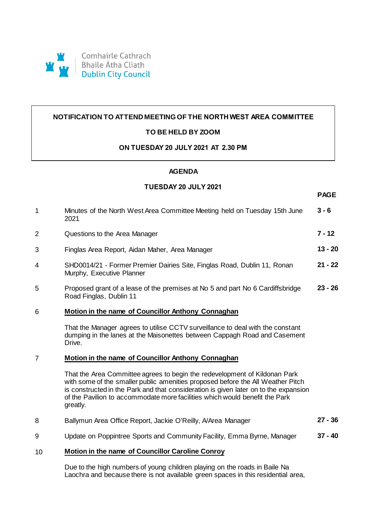

# **NOTIFICATION TO ATTEND MEETING OF THE NORTH WEST AREA COMMITTEE**

# **TO BE HELD BY ZOOM**

### **ON TUESDAY 20 JULY 2021 AT 2.30 PM**

### **AGENDA**

## **TUESDAY 20 JULY 2021**

**PAGE**

| $\mathbf{1}$   | Minutes of the North West Area Committee Meeting held on Tuesday 15th June<br>2021                                                                                                                                                                                                                                                               | $3 - 6$   |
|----------------|--------------------------------------------------------------------------------------------------------------------------------------------------------------------------------------------------------------------------------------------------------------------------------------------------------------------------------------------------|-----------|
| $\overline{2}$ | Questions to the Area Manager                                                                                                                                                                                                                                                                                                                    | $7 - 12$  |
| 3              | Finglas Area Report, Aidan Maher, Area Manager                                                                                                                                                                                                                                                                                                   | $13 - 20$ |
| 4              | SHD0014/21 - Former Premier Dairies Site, Finglas Road, Dublin 11, Ronan<br>Murphy, Executive Planner                                                                                                                                                                                                                                            | $21 - 22$ |
| 5              | Proposed grant of a lease of the premises at No 5 and part No 6 Cardiffsbridge<br>Road Finglas, Dublin 11                                                                                                                                                                                                                                        | $23 - 26$ |
| 6              | Motion in the name of Councillor Anthony Connaghan                                                                                                                                                                                                                                                                                               |           |
|                | That the Manager agrees to utilise CCTV surveillance to deal with the constant<br>dumping in the lanes at the Maisonettes between Cappagh Road and Casement<br>Drive.                                                                                                                                                                            |           |
| $\overline{7}$ | Motion in the name of Councillor Anthony Connaghan                                                                                                                                                                                                                                                                                               |           |
|                | That the Area Committee agrees to begin the redevelopment of Kildonan Park<br>with some of the smaller public amenities proposed before the All Weather Pitch<br>is constructed in the Park and that consideration is given later on to the expansion<br>of the Pavilion to accommodate more facilities which would benefit the Park<br>greatly. |           |
| 8              | Ballymun Area Office Report, Jackie O'Reilly, A/Area Manager                                                                                                                                                                                                                                                                                     | $27 - 36$ |
| 9              | Update on Poppintree Sports and Community Facility, Emma Byrne, Manager                                                                                                                                                                                                                                                                          | $37 - 40$ |
| 10             | <b>Motion in the name of Councillor Caroline Conroy</b>                                                                                                                                                                                                                                                                                          |           |

Due to the high numbers of young children playing on the roads in Baile Na Laochra and because there is not available green spaces in this residential area,